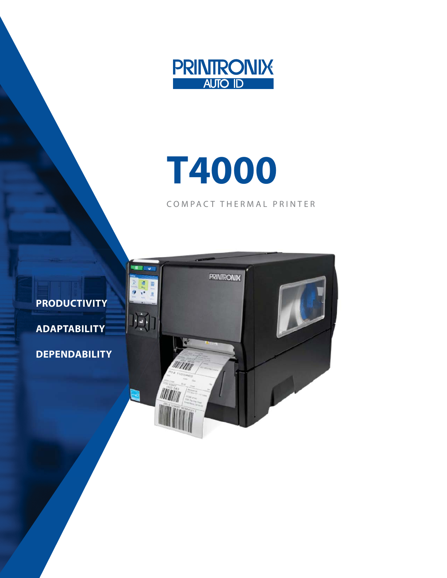

# **T4000**

COMPACT THERMAL PRINTER



**PRODUCTIVITY ADAPTABILITY**

**DEPENDABILITY**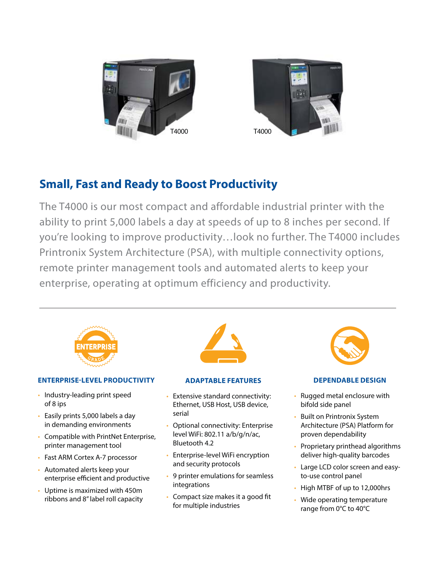



# **Small, Fast and Ready to Boost Productivity**

The T4000 is our most compact and affordable industrial printer with the ability to print 5,000 labels a day at speeds of up to 8 inches per second. If you're looking to improve productivity…look no further. The T4000 includes Printronix System Architecture (PSA), with multiple connectivity options, remote printer management tools and automated alerts to keep your enterprise, operating at optimum efficiency and productivity.



#### **ENTERPRISE-LEVEL PRODUCTIVITY**

- Industry-leading print speed of 8 ips
- Easily prints 5,000 labels a day in demanding environments
- Compatible with PrintNet Enterprise, printer management tool
- Fast ARM Cortex A-7 processor
- Automated alerts keep your enterprise efficient and productive
- Uptime is maximized with 450m ribbons and 8" label roll capacity



#### **ADAPTABLE FEATURES**

- Extensive standard connectivity: Ethernet, USB Host, USB device, serial
- Optional connectivity: Enterprise level WiFi: 802.11 a/b/g/n/ac, Bluetooth 4.2
- Enterprise-level WiFi encryption and security protocols
- 9 printer emulations for seamless integrations
- Compact size makes it a good fit for multiple industries



#### **DEPENDABLE DESIGN**

- Rugged metal enclosure with bifold side panel
- Built on Printronix System Architecture (PSA) Platform for proven dependability
- Proprietary printhead algorithms deliver high-quality barcodes
- Large LCD color screen and easyto-use control panel
- High MTBF of up to 12,000hrs
- Wide operating temperature range from 0°C to 40°C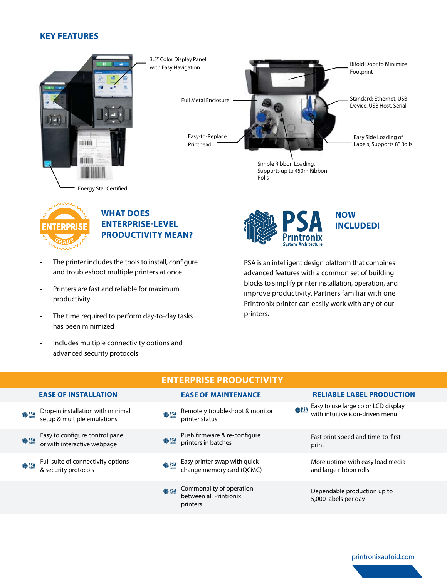#### **KEY FEATURES**



3.5" Color Display Panel with Easy Navigation Full Metal Enclosure Easy-to-Replace Printhead Bifold Door to Minimize Footprint Standard: Ethernet, USB Device, USB Host, Serial Easy Side Loading of Labels, Supports 8" Rolls

> Simple Ribbon Loading, Supports up to 450m Ribbon

Rolls

## **WHAT DOES ENTERPRISE-LEVEL PRODUCTIVITY MEAN?**

- The printer includes the tools to install, configure and troubleshoot multiple printers at once
- Printers are fast and reliable for maximum productivity
- The time required to perform day-to-day tasks has been minimized
- Includes multiple connectivity options and advanced security protocols

**NOW INCLUDED!** 

PSA is an intelligent design platform that combines advanced features with a common set of building blocks to simplify printer installation, operation, and improve productivity. Partners familiar with one Printronix printer can easily work with any of our printers**.** 

|                |                                                                  |               | <b>ENTERPRISE PRODUCTIVITY</b>                                 |                                                                               |
|----------------|------------------------------------------------------------------|---------------|----------------------------------------------------------------|-------------------------------------------------------------------------------|
|                | <b>EASE OF INSTALLATION</b>                                      |               | <b>EASE OF MAINTENANCE</b>                                     | <b>RELIABLE LABEL PRODUCTION</b>                                              |
| <b>SALES</b>   | Drop-in installation with minimal<br>setup & multiple emulations | <b>参照</b>     | Remotely troubleshoot & monitor<br>printer status              | <b>Easy to use large color LCD display</b><br>with intuitive icon-driven menu |
| <b>SAPSA</b>   | Easy to configure control panel<br>or with interactive webpage   | <b>●PSA</b>   | Push firmware & re-configure<br>printers in batches            | Fast print speed and time-to-first-<br>print                                  |
| <b>SASSING</b> | Full suite of connectivity options<br>& security protocols       | <b>OB</b> PSA | Easy printer swap with quick<br>change memory card (QCMC)      | More uptime with easy load media<br>and large ribbon rolls                    |
|                |                                                                  | <b>参PSA</b>   | Commonality of operation<br>between all Printronix<br>printers | Dependable production up to<br>5,000 labels per day                           |

#### printronixautoid.com